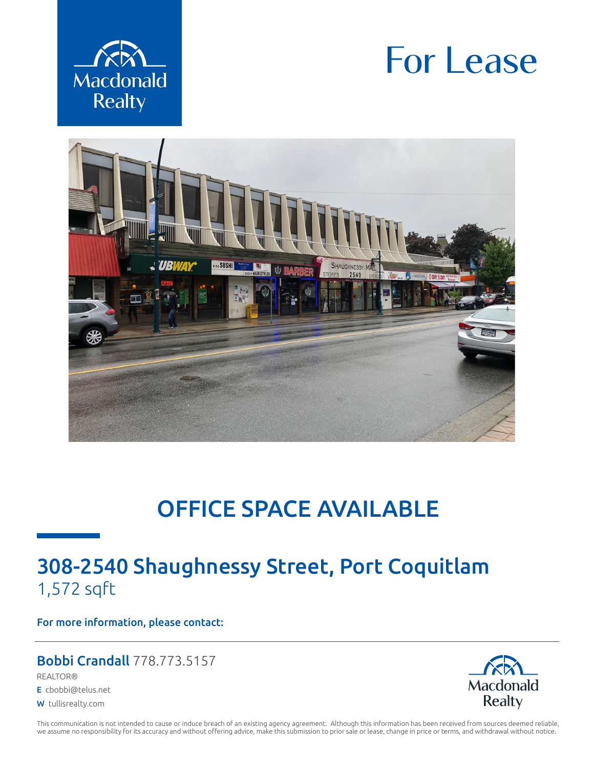

# For Lease



# OFFICE SPACE AVAILABLE

# 308-2540 Shaughnessy Street, Port Coquitlam 1,572 sqft

For more information, please contact:

### Bobbi Crandall 778.773.5157

REALTOR®

E cbobbi@telus.net

W tullisrealty.com



This communication is not intended to cause or induce breach of an existing agency agreement. Although this information has been received from sources deemed reliable, we assume no responsibility for its accuracy and without offering advice, make this submission to prior sale or lease, change in price or terms, and withdrawal without notice.